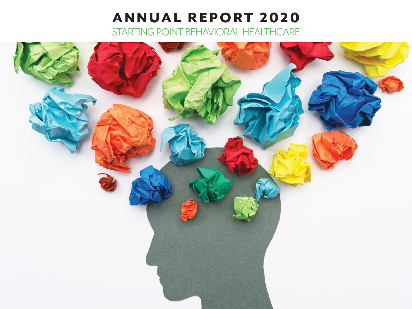# ANNUAL REPORT 2020 STARTING POINT Behavioral HealthCARE

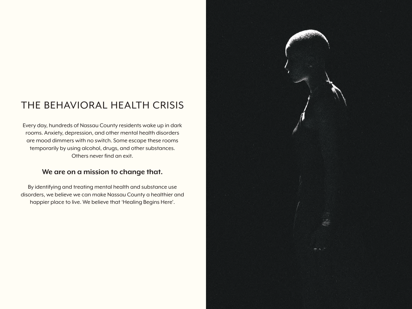## The Behavioral Health Crisis

Every day, hundreds of Nassau County residents wake up in dark rooms. Anxiety, depression, and other mental health disorders are mood dimmers with no switch. Some escape these rooms temporarily by using alcohol, drugs, and other substances. Others never find an exit.

### **We are on a mission to change that.**

By identifying and treating mental health and substance use disorders, we believe we can make Nassau County a healthier and happier place to live. We believe that 'Healing Begins Here'.

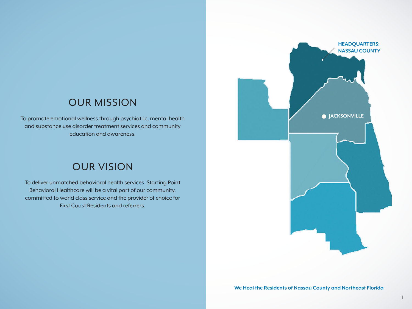### OUR MISSION

To promote emotional wellness through psychiatric, mental health and substance use disorder treatment services and community education and awareness.

### OUR VISION

To deliver unmatched behavioral health services. Starting Point Behavioral Healthcare will be a vital part of our community, committed to world class service and the provider of choice for First Coast Residents and referrers.

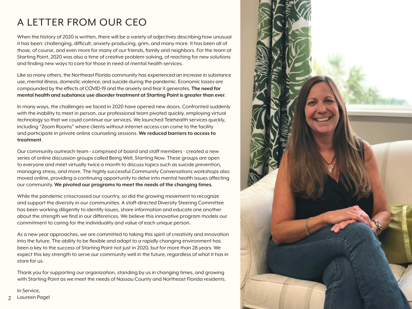## A LETTER FROM OUR CEO

When the history of 2020 is written, there will be a variety of adjectives describing how unusual it has been: challenging, difficult, anxiety-producing, grim, and many more. It has been all of those, of course, and even more for many of our friends, family and neighbors. For the team at Starting Point, 2020 was also a time of creative problem-solving, of reaching for new solutions and finding new ways to care for those in need of mental health services.

Like so many others, the Northeast Florida community has experienced an increase in substance use, mental illness, domestic violence, and suicide during the pandemic. Economic losses are compounded by the effects of COVID-19 and the anxiety and fear it generates. **The need for mental health and substance use disorder treatment at Starting Point is greater than ever**.

In many ways, the challenges we faced in 2020 have opened new doors. Confronted suddenly with the inability to meet in person, our professional team pivoted quickly, employing virtual technology so that we could continue our services. We launched Telehealth services quickly, including "Zoom Rooms" where clients without internet access can come to the facility and participate in private online counseling sessions. **We reduced barriers to access to treatment**.

Our community outreach team - comprised of board and staff members - created a new series of online discussion groups called Being Well, Starting Now. These groups are open to everyone and meet virtually twice a month to discuss topics such as suicide prevention, managing stress, and more. The highly successful Community Conversations workshops also moved online, providing a continuing opportunity to delve into mental health issues affecting our community. **We pivoted our programs to meet the needs of the changing times**.

While the pandemic crisscrossed our country, so did the growing movement to recognize and support the diversity in our communities. A staff-directed Diversity Steering Committee has been working diligently to identify issues, share information and educate one another about the strength we find in our differences. We believe this innovative program models our commitment to caring for the individuality and value of each unique person.

As a new year approaches, we are committed to taking this spirit of creativity and innovation into the future. The ability to be flexible and adapt to a rapidly changing environment has been a key to the success of Starting Point not just in 2020, but for more than 28 years. We expect this key strength to serve our community well in the future, regardless of what it has in store for us.

Thank you for supporting our organization, standing by us in changing times, and growing with Starting Point as we meet the needs of Nassau County and Northeast Florida residents.

In Service,

Laureen Pagel

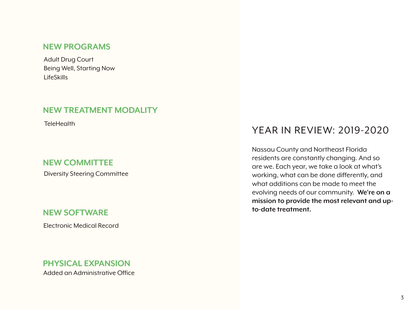### **New Programs**

Adult Drug Court Being Well, Starting Now LifeSkills

### **New TREATMENT MODALITY**

**TeleHealth** 

### **New COMMITTEE**

Diversity Steering Committee

### **New SOFTWARE**

Electronic Medical Record

### **PHYSICAL EXPANSION** Added an Administrative Office

### Year in Review: 2019-2020

Nassau County and Northeast Florida residents are constantly changing. And so are we. Each year, we take a look at what's working, what can be done differently, and what additions can be made to meet the evolving needs of our community. **We're on a mission to provide the most relevant and upto-date treatment.**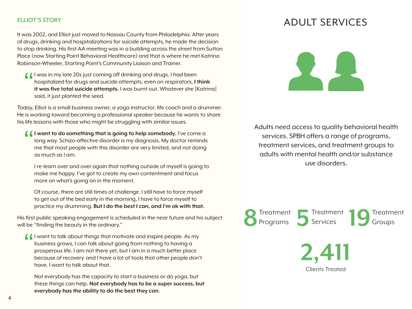#### **ELLIOT'S STORY**

It was 2002, and Elliot just moved to Nassau County from Philadelphia. After years of drugs, drinking and hospitalizations for suicide attempts, he made the decision to stop drinking. His first AA meeting was in a building across the street from Sutton Place (now Starting Point Behavioral Healthcare) and that is where he met Katrina Robinson-Wheeler, Starting Point's Community Liaison and Trainer.

I was in my late 20s just coming off drinking and drugs. I had been<br>hospitalized for drugs and suicide attempts, even on respirators. It<br>it was five total suicide attempts. I was burnt out. Whatever she [I hospitalized for drugs and suicide attempts, even on respirators. **I think it was five total suicide attempts.** I was burnt out. Whatever she [Katrina] said, it just planted the seed.

Today, Elliot is a small business owner, a yoga instructor, life coach and a drummer. He is working toward becoming a professional speaker because he wants to share his life lessons with those who might be struggling with similar issues.

**I want to do something that is going to help somebody**, I've come a long way. Schizo-affective disorder is my diagnosis. My doctor reminds me that most people with this disorder are very limited, and not doing as much as I am. "

I re-learn over and over again that nothing outside of myself is going to make me happy. I've got to create my own contentment and focus more on what's going on in the moment.

 Of course, there are still times of challenge. I still have to force myself to get out of the bed early in the morning, I have to force myself to practice my drumming. **But I do the best I can, and I'm ok with that.**

His first public speaking engagement is scheduled in the near future and his subject will be "finding the beauty in the ordinary."

 $\int$  I want to talk about things that motivate and inspire people. As my business grows, I can talk about going from nothing to having a prosperous life. I am not there yet, but I am in a much better place because of recovery and I have a lot of tools that other people don't have. I want to talk about that. "

Not everybody has the capacity to start a business or do yoga, but these things can help. **Not everybody has to be a super success, but everybody has the ability to do the best they can**.

### ADULT SERVICES



Adults need access to quality behavioral health services. SPBH offers a range of programs, treatment services, and treatment groups to adults with mental health and/or substance use disorders.



Clients Treated **2,411**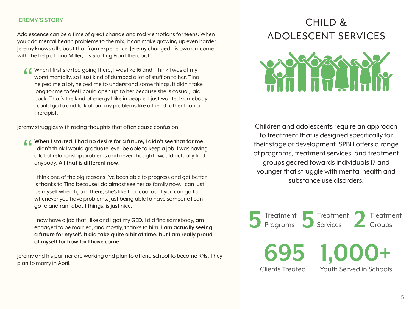#### **JEREMY'S STORY**

Adolescence can be a time of great change and rocky emotions for teens. When you add mental health problems to the mix, it can make growing up even harder. Jeremy knows all about that from experience. Jeremy changed his own outcome with the help of Tina Miller, his Starting Point therapist

When I first started going there, I was like 16 and I think I was at my<br>worst mentally, so I just kind of dumped a lot of stuff on to her. Tind<br>helped me a lot, helped me to understand some things. It didn't tak<br>long for m worst mentally, so I just kind of dumped a lot of stuff on to her. Tina helped me a lot, helped me to understand some things. It didn't take long for me to feel I could open up to her because she is casual, laid back. That's the kind of energy I like in people. I just wanted somebody I could go to and talk about my problems like a friend rather than a therapist.

Jeremy struggles with racing thoughts that often cause confusion.

**COMPLAT I Started, I had no desire for a future, I didn't see that for me.**<br>
I didn't think I would graduate, ever be able to keep a job, I was having<br>
a lot of relationship problems and never thought I would actually fin I didn't think I would graduate, ever be able to keep a job, I was having a lot of relationship problems and never thought I would actually find anybody. **All that is different now**.

 I think one of the big reasons I've been able to progress and get better is thanks to Tina because I do almost see her as family now. I can just be myself when I go in there, she's like that cool aunt you can go to whenever you have problems. Just being able to have someone I can go to and rant about things, is just nice.

I now have a job that I like and I got my GED. I did find somebody, am engaged to be married, and mostly, thanks to him, **I am actually seeing a future for myself. It did take quite a bit of time, but I am really proud of myself for how far I have come**.

Jeremy and his partner are working and plan to attend school to become RNs. They plan to marry in April.

## CHILD & ADOLESCENT SERVICES



Children and adolescents require an approach to treatment that is designed specifically for their stage of development. SPBH offers a range of programs, treatment services, and treatment groups geared towards individuals 17 and younger that struggle with mental health and substance use disorders.

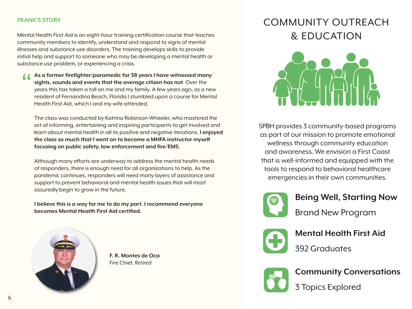#### **FRANK'S STORY**

Mental Health First Aid is an eight-hour training certification course that teaches community members to identify, understand and respond to signs of mental illnesses and substance use disorders. The training develops skills to provide initial help and support to someone who may be developing a mental health or substance use problem, or experiencing a crisis.

**As a former firefighter/paramedic for 38 years I have witnessed many sights, sounds and events that the average citizen has not**. Over the years this has taken a toll on me and my family. A few years ago, as a new resident of Fernandina Beach, Florida I stumbled upon a course for Mental Health First Aid, which I and my wife attended.  $\epsilon$ 

The class was conducted by Katrina Robinson-Wheeler, who mastered the art of informing, entertaining and inspiring participants to get involved and learn about mental health in all its positive and negative iterations. **I enjoyed the class so much that I went on to become a MHFA instructor myself focusing on public safety, law enforcement and fire/EMS**.

 Although many efforts are underway to address the mental health needs of responders, there is enough need for all organizations to help. As the pandemic continues, responders will need many layers of assistance and support to prevent behavioral and mental health issues that will most assuredly begin to grow in the future.

**I believe this is a way for me to do my part. I recommend everyone becomes Mental Health First Aid certified.**



 **F. R. Montes de Oca** Fire Chief, *Retired*

## COMMUNITY OUTREACH & EDUCATION



SPBH provides 3 community-based programs as part of our mission to promote emotional wellness through community education and awareness. We envision a First Coast that is well-informed and equipped with the tools to respond to behavioral healthcare emergencies in their own communities.



**Being Well, Starting Now** Brand New Program



**Mental Health First Aid** ... 392 Graduates



**Community Conversations**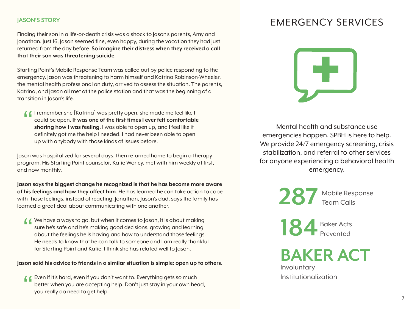#### **JASON'S STORY**

Finding their son in a life-or-death crisis was a shock to Jason's parents, Amy and Jonathan. Just 16, Jason seemed fine, even happy, during the vacation they had just returned from the day before. **So imagine their distress when they received a call that their son was threatening suicide**.

Starting Point's Mobile Response Team was called out by police responding to the emergency. Jason was threatening to harm himself and Katrina Robinson-Wheeler, the mental health professional on duty, arrived to assess the situation. The parents, Katrina, and Jason all met at the police station and that was the beginning of a transition in Jason's life.

I remember she [Katrina] was pretty open, she made me feel like I<br>could be open. It was one of the first times I ever felt comfortable<br>sharing how I was feeling. I was able to open up, and I feel like it could be open. **It was one of the first times I ever felt comfortable sharing how I was feeling**. I was able to open up, and I feel like it definitely got me the help I needed. I had never been able to open up with anybody with those kinds of issues before.

Jason was hospitalized for several days, then returned home to begin a therapy program. His Starting Point counselor, Katie Worley, met with him weekly at first, and now monthly.

**Jason says the biggest change he recognized is that he has become more aware of his feelings and how they affect him**. He has learned he can take action to cope with those feelings, instead of reacting. Jonathan, Jason's dad, says the family has learned a great deal about communicating with one another.

We have a ways to go, but when it comes to Jason, it is about making<br>sure he's safe and he's making good decisions, growing and learning<br>about the feelings he is having and how to understand those feelings. sure he's safe and he's making good decisions, growing and learning about the feelings he is having and how to understand those feelings. He needs to know that he can talk to someone and I am really thankful for Starting Point and Katie. I think she has related well to Jason.

**Jason said his advice to friends in a similar situation is simple: open up to others**.

**4** Even if it's hard, even if you don't want to. Everything gets so much better when you are accepting help. Don't just stay in your own hed you really do need to get help. better when you are accepting help. Don't just stay in your own head, you really do need to get help.

## EMERGENCY SERVICES



Mental health and substance use emergencies happen. SPBH is here to help. We provide 24/7 emergency screening, crisis stabilization, and referral to other services for anyone experiencing a behavioral health emergency.

> **287** Mobile Response Team Calls

**184** Baker Acts Prevented

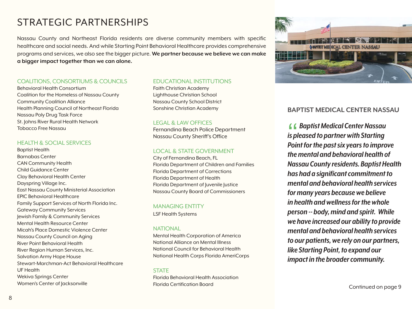## STRATEGIC PARTNERSHIPS

Nassau County and Northeast Florida residents are diverse community members with specific healthcare and social needs. And while Starting Point Behavioral Healthcare provides comprehensive programs and services, we also see the bigger picture. **We partner because we believe we can make a bigger impact together than we can alone.** 

#### COALITIONS, CONSORTIUMS & COUNCILS

Behavioral Health Consortium Coalition for the Homeless of Nassau County Community Coalition Alliance Health Planning Council of Northeast Florida Nassau Poly Drug Task Force St. Johns River Rural Health Network Tobacco Free Nassau

#### HEALTH & SOCIAL SERVICES

Baptist Health Barnabas Center CAN Community Health Child Guidance Center Clay Behavioral Health Center Dayspring Village Inc. East Nassau County Ministerial Association EPIC Behavioral Healthcare Family Support Services of North Florida Inc. Gateway Community Services Jewish Family & Community Services Mental Health Resource Center Micah's Place Domestic Violence Center Nassau County Council on Aging River Point Behavioral Health River Region Human Services, Inc. Salvation Army Hope House Stewart-Marchman-Act Behavioral Healthcare UF Health Wekiva Springs Center Women's Center of Jacksonville

#### EDUCATIONAL INSTITUTIONS

Faith Christian Academy Lighthouse Christian School Nassau County School District Sonshine Christian Academy

#### LEGAL & LAW OFFICES

Fernandina Beach Police Department Nassau County Sheriff's Office

#### LOCAL & STATE GOVERNMENT

City of Fernandina Beach, FL  Florida Department of Children and Families Florida Department of Corrections Florida Department of Health Florida Department of Juvenile Justice Nassau County Board of Commissioners

#### MANAGING ENTITY

LSF Health Systems

#### NATIONAL

Mental Health Corporation of America National Alliance on Mental Illness National Council for Behavioral Health National Health Corps Florida AmeriCorps

#### **STATE**

Florida Behavioral Health Association Florida Certification Board

#### **BAPTIST MEDICAL CENTER NASSAU**

 *Baptist Medical Center Nassau is pleased to partner with Starting Point for the past six years to improve the mental and behavioral health of Nassau County residents. Baptist Health has had a significant commitment to mental and behavioral health services for many years because we believe in health and wellness for the whole person -- body, mind and spirit. While we have increased our ability to provide mental and behavioral health services to our patients, we rely on our partners, like Starting Point, to expand our impact in the broader community.* **((**<br>is pl<br>Poir

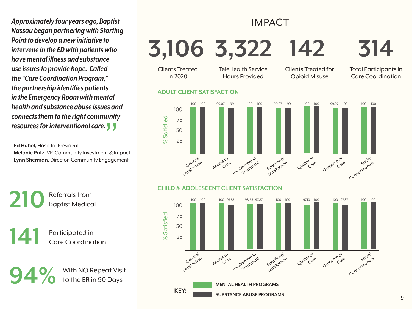*Approximately four years ago, Baptist Nassau began partnering with Starting Point to develop a new initiative to intervene in the ED with patients who have mental illness and substance use issues to provide hope. Called the "Care Coordination Program," the partnership identifies patients in the Emergency Room with mental health and substance abuse issues and connects them to the right community resources for interventional care.*"

**- Ed Hubel,** Hospital President

**- Melanie Patz,** VP, Community Investment & Impact **- Lynn Sherman,** Director, Community Engagement

#### IMPACT **3,106 3,322 142** Clients Treated in 2020 TeleHealth Service Hours Provided Clients Treated for Opioid Misuse **ADULT CLIENT SATISFACTION** 100 100 100 99.07 99 100 100 99.07 99 100 100 99.07 99 100 100 **314** Total Participants in Care Coordination



#### **CHILD & ADOLESCENT CLIENT SATISFACTION**

% Satisfied



**210** Referrals from Baptist Medical

**141** Participated in<br>Care Coordina Care Coordination

**94 %** With NO Repeat Visit<br>to the ER in 90 Days to the ER in 90 Days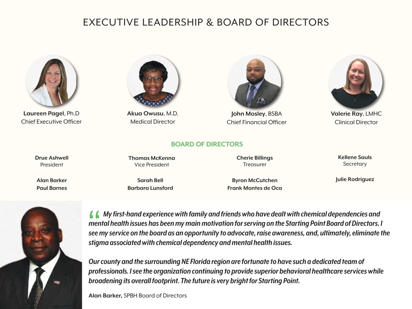### Executive Leadership & Board of Directors

**BOARD OF DIRECTORS**



**Laureen Pagel**, Ph.D Chief Executive Officer



**Akua Owusu**, M.D. Medical Director



**John Mosley**, BSBA Chief Financial Officer



**Valerie Ray**, LMHC Clinical Director

**Drue Ashwell** President

**Alan Barker Paul Barnes**

#### **Thomas McKenna** Vice President

**Cherie Billings Treasurer** 

**Kellene Sauls Secretary** 

**Sarah Bell Barbara Lunsford**

**Byron McCutchen Frank Montes de Oca** **Julie Rodriguez**



 *My first-hand experience with family and friends who have dealt with chemical dependencies and mental health issues has been my main motivation for serving on the Starting Point Board of Directors. I*  **6 6** My first-hand experience with family and friends who have dealt with chemical dependencies and mental health issues has been my main motivation for serving on the Starting Point Board of Directors. I see my service o *stigma associated with chemical dependency and mental health issues.*

*Our county and the surrounding NE Florida region are fortunate to have such a dedicated team of professionals. I see the organization continuing to provide superior behavioral healthcare services while broadening its overall footprint. The future is very bright for Starting Point.*

**Alan Barker,** SPBH Board of Directors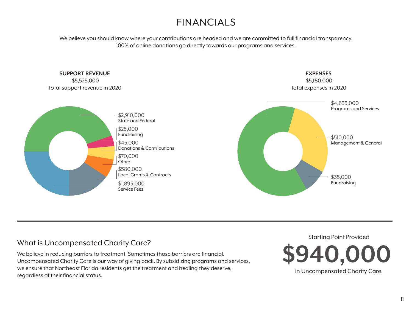## FINANCIALS

We believe you should know where your contributions are headed and we are committed to full financial transparency. 100% of online donations go directly towards our programs and services.



### What is Uncompensated Charity Care?

We believe in reducing barriers to treatment. Sometimes those barriers are financial. Uncompensated Charity Care is our way of giving back. By subsidizing programs and services, we ensure that Northeast Florida residents get the treatment and healing they deserve, regardless of their financial status.

Starting Point Provided **\$940,000**

in Uncompensated Charity Care.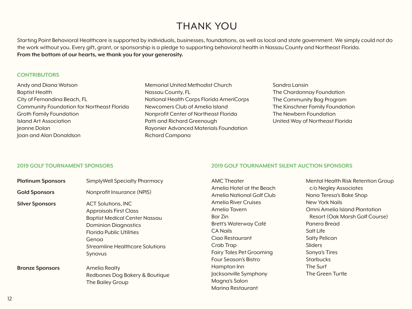## THANK YOU

Starting Point Behavioral Healthcare is supported by individuals, businesses, foundations, as well as local and state government. We simply could not do the work without you. Every gift, grant, or sponsorship is a pledge to supporting behavioral health in Nassau County and Northeast Florida. **From the bottom of our hearts, we thank you for your generosity.**

#### **Contributors**

Andy and Diana Watson Baptist Health City of Fernandina Beach, FL Community Foundation for Northeast Florida Groth Family Foundation Island Art Association Jeanne Dolan Joan and Alan Donaldson

| <b>Memorial United Methodist Church</b>  |
|------------------------------------------|
| Nassau County, FL                        |
| National Health Corps Florida AmeriCorps |
| Newcomers Club of Amelia Island          |
| Nonprofit Center of Northeast Florida    |
| Patti and Richard Greenough              |
| Rayonier Advanced Materials Foundation   |
| Richard Campana                          |

Sandra Lansin The Chardonnay Foundation The Community Bag Program The Kinschner Family Foundation The Newbern Foundation United Way of Northeast Florida

**2019 Golf Tournament Silent Auction Sponsors**

#### **2019 GOLF TOURNAMENT SPONSORS**

| <b>Platinum Sponsors</b> | <b>SimplyWell Specialty Pharmacy</b>                                                                                                                                                                                               | <b>AMC Theater</b>                                                                                                                                                                      | Mental Health Risk Retention Group                                                                                                                                                            |
|--------------------------|------------------------------------------------------------------------------------------------------------------------------------------------------------------------------------------------------------------------------------|-----------------------------------------------------------------------------------------------------------------------------------------------------------------------------------------|-----------------------------------------------------------------------------------------------------------------------------------------------------------------------------------------------|
| <b>Gold Sponsors</b>     | Nonprofit Insurance (NPIS)                                                                                                                                                                                                         | Amelia Hotel at the Beach<br>Amelia National Golf Club                                                                                                                                  | c/o Negley Associates<br>Nana Teresa's Bake Shop                                                                                                                                              |
| <b>Silver Sponsors</b>   | <b>ACT Solutions, INC</b><br><b>Appraisals First Class</b><br><b>Baptist Medical Center Nassau</b><br><b>Dominion Diagnostics</b><br><b>Florida Public Utilities</b><br>Genoa<br><b>Streamline Healthcare Solutions</b><br>Synovus | Amelia River Cruises<br>Amelia Tavern<br>Bar Zin<br>Brett's Waterway Café<br><b>CA Nails</b><br>Ciao Restaurant<br>Crab Trap<br><b>Fairy Tales Pet Grooming</b><br>Four Season's Bistro | New York Nails<br>Omni Amelia Island Plantation<br>Resort (Oak Marsh Golf Course)<br>Panera Bread<br>Salt Life<br><b>Salty Pelican</b><br><b>Sliders</b><br>Sonya's Tires<br><b>Starbucks</b> |
| <b>Bronze Sponsors</b>   | Amelia Realty<br>Redbones Dog Bakery & Boutique<br>The Bailey Group                                                                                                                                                                | Hampton Inn<br>Jacksonville Symphony<br>Magna's Salon<br>Marina Restaurant                                                                                                              | The Surf<br>The Green Turtle                                                                                                                                                                  |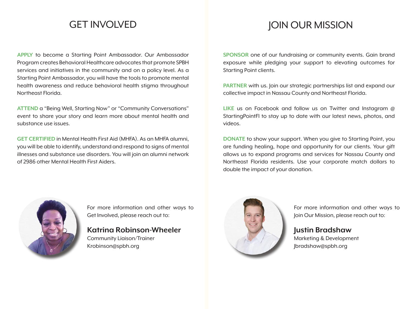### GET INVOLVED

**APPLY** to become a Starting Point Ambassador. Our Ambassador Program creates Behavioral Healthcare advocates that promote SPBH services and initiatives in the community and on a policy level. As a Starting Point Ambassador, you will have the tools to promote mental health awareness and reduce behavioral health stigma throughout Northeast Florida.

**ATTEND** a "Being Well, Starting Now" or "Community Conversations" event to share your story and learn more about mental health and substance use issues.

**GET CERTIFIED** in Mental Health First Aid (MHFA). As an MHFA alumni, you will be able to identify, understand and respond to signs of mental illnesses and substance use disorders. You will join an alumni network of 2986 other Mental Health First Aiders.

### JOIN OUR MISSION

**SPONSOR** one of our fundraising or community events. Gain brand exposure while pledging your support to elevating outcomes for Starting Point clients.

**PARTNER** with us. Join our strategic partnerships list and expand our collective impact in Nassau County and Northeast Florida.

**LIKE** us on Facebook and follow us on Twitter and Instagram @ StartingPointFl to stay up to date with our latest news, photos, and videos.

**DONATE** to show your support. When you give to Starting Point, you are funding healing, hope and opportunity for our clients. Your gift allows us to expand programs and services for Nassau County and Northeast Florida residents. Use your corporate match dollars to double the impact of your donation.



For more information and other ways to Get Involved, please reach out to:

### **Katrina Robinson-Wheeler**

Community Liaison/Trainer Krobinson@spbh.org



For more information and other ways to Join Our Mission, please reach out to:

**Justin Bradshaw** Marketing & Development Jbradshaw@spbh.org